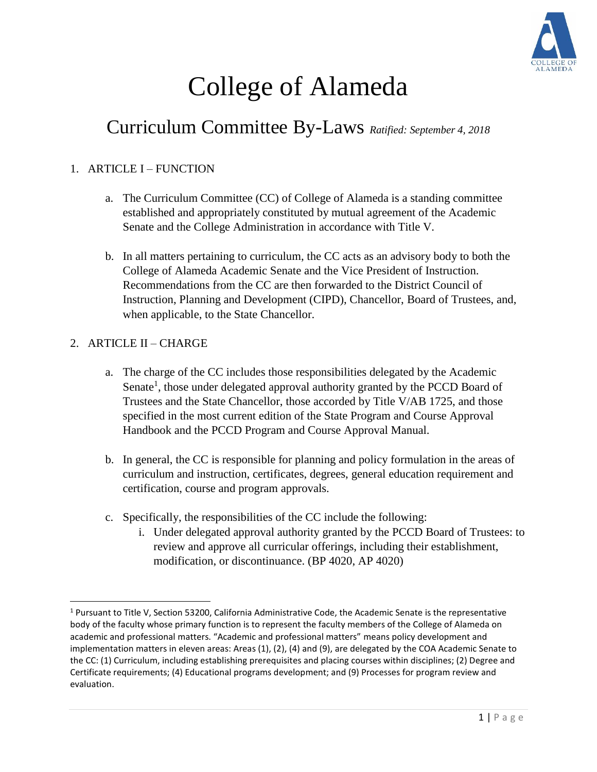

# College of Alameda

# Curriculum Committee By-Laws *Ratified: September 4, 2018*

## 1. ARTICLE I – FUNCTION

- a. The Curriculum Committee (CC) of College of Alameda is a standing committee established and appropriately constituted by mutual agreement of the Academic Senate and the College Administration in accordance with Title V.
- b. In all matters pertaining to curriculum, the CC acts as an advisory body to both the College of Alameda Academic Senate and the Vice President of Instruction. Recommendations from the CC are then forwarded to the District Council of Instruction, Planning and Development (CIPD), Chancellor, Board of Trustees, and, when applicable, to the State Chancellor.

### 2. ARTICLE II – CHARGE

 $\overline{\phantom{a}}$ 

- a. The charge of the CC includes those responsibilities delegated by the Academic Senate<sup>1</sup>, those under delegated approval authority granted by the PCCD Board of Trustees and the State Chancellor, those accorded by Title V/AB 1725, and those specified in the most current edition of the State Program and Course Approval Handbook and the PCCD Program and Course Approval Manual.
- b. In general, the CC is responsible for planning and policy formulation in the areas of curriculum and instruction, certificates, degrees, general education requirement and certification, course and program approvals.
- c. Specifically, the responsibilities of the CC include the following:
	- i. Under delegated approval authority granted by the PCCD Board of Trustees: to review and approve all curricular offerings, including their establishment, modification, or discontinuance. (BP 4020, AP 4020)

<sup>1</sup> Pursuant to Title V, Section 53200, California Administrative Code, the Academic Senate is the representative body of the faculty whose primary function is to represent the faculty members of the College of Alameda on academic and professional matters. "Academic and professional matters" means policy development and implementation matters in eleven areas: Areas (1), (2), (4) and (9), are delegated by the COA Academic Senate to the CC: (1) Curriculum, including establishing prerequisites and placing courses within disciplines; (2) Degree and Certificate requirements; (4) Educational programs development; and (9) Processes for program review and evaluation.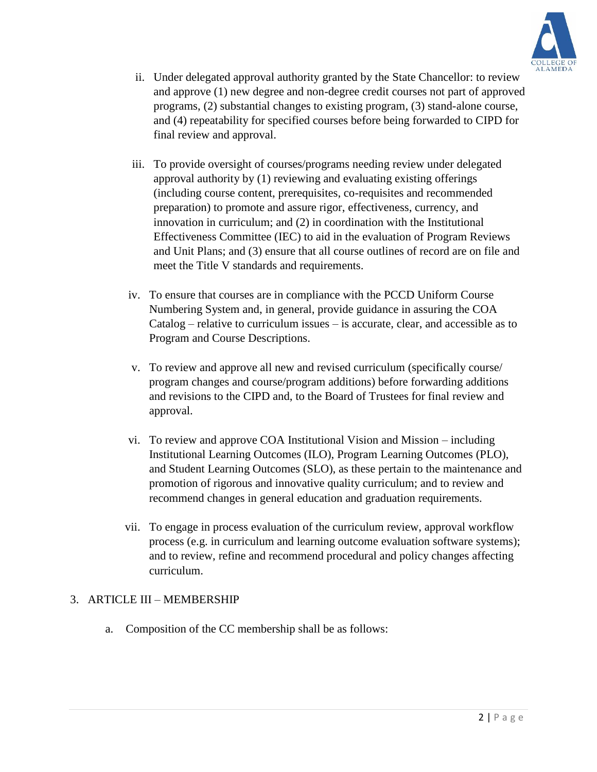

- ii. Under delegated approval authority granted by the State Chancellor: to review and approve (1) new degree and non-degree credit courses not part of approved programs, (2) substantial changes to existing program, (3) stand-alone course, and (4) repeatability for specified courses before being forwarded to CIPD for final review and approval.
- iii. To provide oversight of courses/programs needing review under delegated approval authority by (1) reviewing and evaluating existing offerings (including course content, prerequisites, co-requisites and recommended preparation) to promote and assure rigor, effectiveness, currency, and innovation in curriculum; and (2) in coordination with the Institutional Effectiveness Committee (IEC) to aid in the evaluation of Program Reviews and Unit Plans; and (3) ensure that all course outlines of record are on file and meet the Title V standards and requirements.
- iv. To ensure that courses are in compliance with the PCCD Uniform Course Numbering System and, in general, provide guidance in assuring the COA Catalog – relative to curriculum issues – is accurate, clear, and accessible as to Program and Course Descriptions.
- v. To review and approve all new and revised curriculum (specifically course/ program changes and course/program additions) before forwarding additions and revisions to the CIPD and, to the Board of Trustees for final review and approval.
- vi. To review and approve COA Institutional Vision and Mission including Institutional Learning Outcomes (ILO), Program Learning Outcomes (PLO), and Student Learning Outcomes (SLO), as these pertain to the maintenance and promotion of rigorous and innovative quality curriculum; and to review and recommend changes in general education and graduation requirements.
- vii. To engage in process evaluation of the curriculum review, approval workflow process (e.g. in curriculum and learning outcome evaluation software systems); and to review, refine and recommend procedural and policy changes affecting curriculum.

#### 3. ARTICLE III – MEMBERSHIP

a. Composition of the CC membership shall be as follows: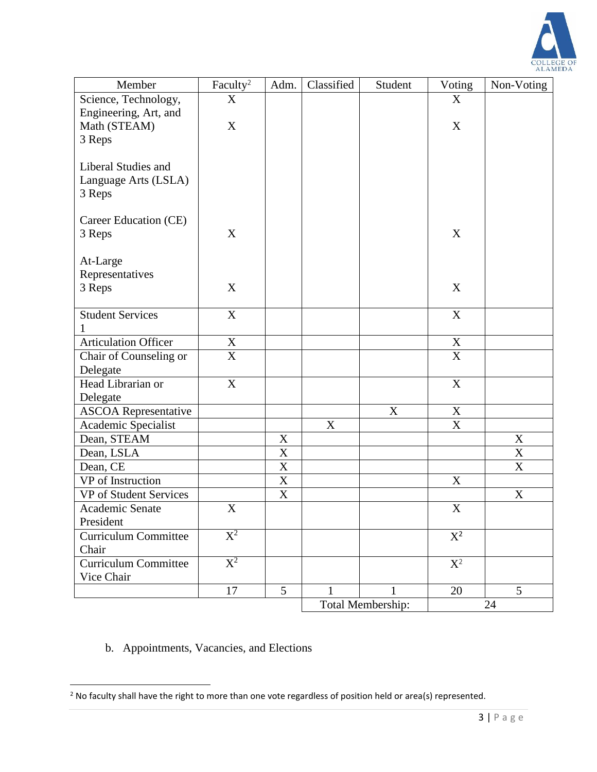

| Member                      | Faculty <sup>2</sup>      | Adm.                      | Classified  | Student           | Voting                    | Non-Voting                |  |
|-----------------------------|---------------------------|---------------------------|-------------|-------------------|---------------------------|---------------------------|--|
| Science, Technology,        | X                         |                           |             |                   | X                         |                           |  |
| Engineering, Art, and       |                           |                           |             |                   |                           |                           |  |
| Math (STEAM)                | $\mathbf X$               |                           |             |                   | $\mathbf X$               |                           |  |
| 3 Reps                      |                           |                           |             |                   |                           |                           |  |
|                             |                           |                           |             |                   |                           |                           |  |
| Liberal Studies and         |                           |                           |             |                   |                           |                           |  |
| Language Arts (LSLA)        |                           |                           |             |                   |                           |                           |  |
| 3 Reps                      |                           |                           |             |                   |                           |                           |  |
|                             |                           |                           |             |                   |                           |                           |  |
| Career Education (CE)       |                           |                           |             |                   |                           |                           |  |
| 3 Reps                      | X                         |                           |             |                   | X                         |                           |  |
|                             |                           |                           |             |                   |                           |                           |  |
| At-Large                    |                           |                           |             |                   |                           |                           |  |
| Representatives             |                           |                           |             |                   |                           |                           |  |
| 3 Reps                      | X                         |                           |             |                   | X                         |                           |  |
|                             |                           |                           |             |                   |                           |                           |  |
| <b>Student Services</b>     | $\mathbf X$               |                           |             |                   | $\mathbf X$               |                           |  |
|                             |                           |                           |             |                   |                           |                           |  |
| <b>Articulation Officer</b> | $\mathbf X$               |                           |             |                   | $\mathbf X$               |                           |  |
| Chair of Counseling or      | $\boldsymbol{X}$          |                           |             |                   | $\boldsymbol{\mathrm{X}}$ |                           |  |
| Delegate                    |                           |                           |             |                   |                           |                           |  |
| Head Librarian or           | $\boldsymbol{\mathrm{X}}$ |                           |             |                   | $\mathbf X$               |                           |  |
| Delegate                    |                           |                           |             |                   |                           |                           |  |
| <b>ASCOA Representative</b> |                           |                           |             | $\mathbf X$       | $\mathbf X$               |                           |  |
| Academic Specialist         |                           |                           | $\mathbf X$ |                   | $\boldsymbol{\mathrm{X}}$ |                           |  |
| Dean, STEAM                 |                           | X                         |             |                   |                           | X                         |  |
| Dean, LSLA                  |                           | $\mathbf X$               |             |                   |                           | X                         |  |
| Dean, CE                    |                           | $\mathbf X$               |             |                   |                           | $\mathbf X$               |  |
| VP of Instruction           |                           | $\mathbf X$               |             |                   | $\mathbf X$               |                           |  |
| VP of Student Services      |                           | $\boldsymbol{\mathrm{X}}$ |             |                   |                           | $\boldsymbol{\mathrm{X}}$ |  |
| Academic Senate             | X                         |                           |             |                   | $\mathbf X$               |                           |  |
| President                   |                           |                           |             |                   |                           |                           |  |
| <b>Curriculum Committee</b> | $\overline{\mathrm{X}^2}$ |                           |             |                   | $X^2$                     |                           |  |
| Chair                       |                           |                           |             |                   |                           |                           |  |
| <b>Curriculum Committee</b> | $\overline{X^2}$          |                           |             |                   | $X^2$                     |                           |  |
| Vice Chair                  |                           |                           |             |                   |                           |                           |  |
|                             | 17                        | 5                         |             |                   | 20                        | 5                         |  |
|                             |                           |                           |             | Total Membership: |                           | 24                        |  |

b. Appointments, Vacancies, and Elections

 $\overline{\phantom{a}}$ 

 $2$  No faculty shall have the right to more than one vote regardless of position held or area(s) represented.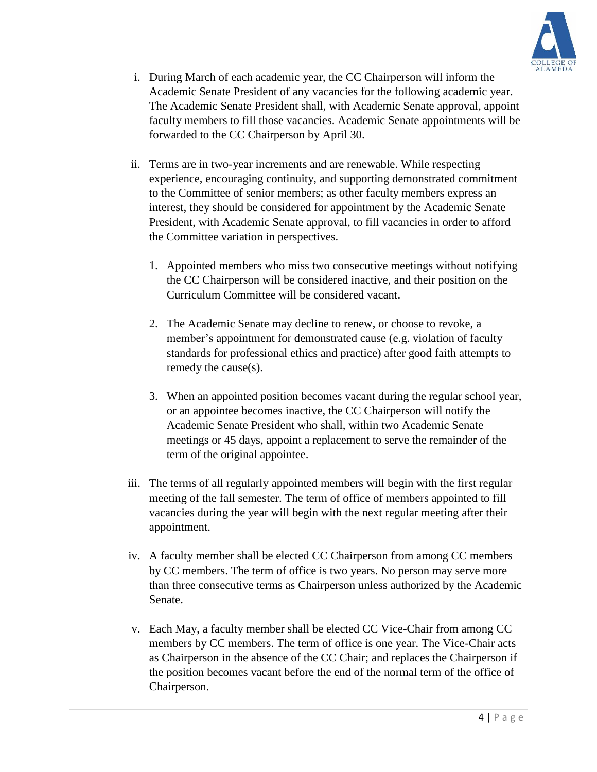

- i. During March of each academic year, the CC Chairperson will inform the Academic Senate President of any vacancies for the following academic year. The Academic Senate President shall, with Academic Senate approval, appoint faculty members to fill those vacancies. Academic Senate appointments will be forwarded to the CC Chairperson by April 30.
- ii. Terms are in two-year increments and are renewable. While respecting experience, encouraging continuity, and supporting demonstrated commitment to the Committee of senior members; as other faculty members express an interest, they should be considered for appointment by the Academic Senate President, with Academic Senate approval, to fill vacancies in order to afford the Committee variation in perspectives.
	- 1. Appointed members who miss two consecutive meetings without notifying the CC Chairperson will be considered inactive, and their position on the Curriculum Committee will be considered vacant.
	- 2. The Academic Senate may decline to renew, or choose to revoke, a member's appointment for demonstrated cause (e.g. violation of faculty standards for professional ethics and practice) after good faith attempts to remedy the cause(s).
	- 3. When an appointed position becomes vacant during the regular school year, or an appointee becomes inactive, the CC Chairperson will notify the Academic Senate President who shall, within two Academic Senate meetings or 45 days, appoint a replacement to serve the remainder of the term of the original appointee.
- iii. The terms of all regularly appointed members will begin with the first regular meeting of the fall semester. The term of office of members appointed to fill vacancies during the year will begin with the next regular meeting after their appointment.
- iv. A faculty member shall be elected CC Chairperson from among CC members by CC members. The term of office is two years. No person may serve more than three consecutive terms as Chairperson unless authorized by the Academic Senate.
- v. Each May, a faculty member shall be elected CC Vice-Chair from among CC members by CC members. The term of office is one year. The Vice-Chair acts as Chairperson in the absence of the CC Chair; and replaces the Chairperson if the position becomes vacant before the end of the normal term of the office of Chairperson.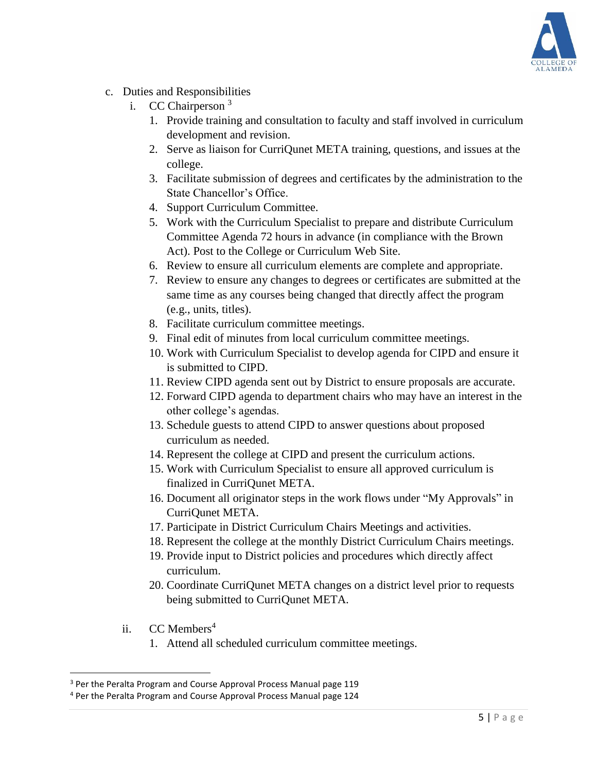

- c. Duties and Responsibilities
	- i. CC Chairperson <sup>3</sup>
		- 1. Provide training and consultation to faculty and staff involved in curriculum development and revision.
		- 2. Serve as liaison for CurriQunet META training, questions, and issues at the college.
		- 3. Facilitate submission of degrees and certificates by the administration to the State Chancellor's Office.
		- 4. Support Curriculum Committee.
		- 5. Work with the Curriculum Specialist to prepare and distribute Curriculum Committee Agenda 72 hours in advance (in compliance with the Brown Act). Post to the College or Curriculum Web Site.
		- 6. Review to ensure all curriculum elements are complete and appropriate.
		- 7. Review to ensure any changes to degrees or certificates are submitted at the same time as any courses being changed that directly affect the program (e.g., units, titles).
		- 8. Facilitate curriculum committee meetings.
		- 9. Final edit of minutes from local curriculum committee meetings.
		- 10. Work with Curriculum Specialist to develop agenda for CIPD and ensure it is submitted to CIPD.
		- 11. Review CIPD agenda sent out by District to ensure proposals are accurate.
		- 12. Forward CIPD agenda to department chairs who may have an interest in the other college's agendas.
		- 13. Schedule guests to attend CIPD to answer questions about proposed curriculum as needed.
		- 14. Represent the college at CIPD and present the curriculum actions.
		- 15. Work with Curriculum Specialist to ensure all approved curriculum is finalized in CurriQunet META.
		- 16. Document all originator steps in the work flows under "My Approvals" in CurriQunet META.
		- 17. Participate in District Curriculum Chairs Meetings and activities.
		- 18. Represent the college at the monthly District Curriculum Chairs meetings.
		- 19. Provide input to District policies and procedures which directly affect curriculum.
		- 20. Coordinate CurriQunet META changes on a district level prior to requests being submitted to CurriQunet META.
	- ii.  $CC$  Members<sup>4</sup>

l

1. Attend all scheduled curriculum committee meetings.

<sup>&</sup>lt;sup>3</sup> Per the Peralta Program and Course Approval Process Manual page 119

<sup>4</sup> Per the Peralta Program and Course Approval Process Manual page 124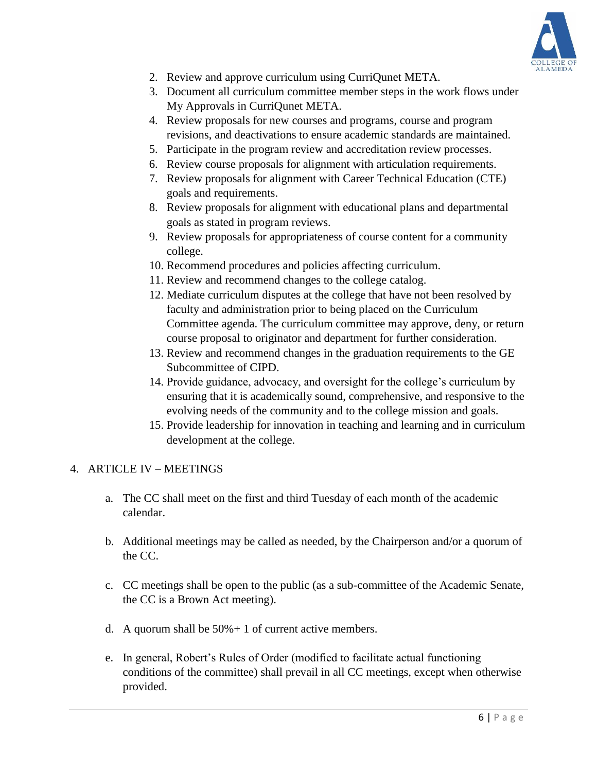

- 2. Review and approve curriculum using CurriQunet META.
- 3. Document all curriculum committee member steps in the work flows under My Approvals in CurriQunet META.
- 4. Review proposals for new courses and programs, course and program revisions, and deactivations to ensure academic standards are maintained.
- 5. Participate in the program review and accreditation review processes.
- 6. Review course proposals for alignment with articulation requirements.
- 7. Review proposals for alignment with Career Technical Education (CTE) goals and requirements.
- 8. Review proposals for alignment with educational plans and departmental goals as stated in program reviews.
- 9. Review proposals for appropriateness of course content for a community college.
- 10. Recommend procedures and policies affecting curriculum.
- 11. Review and recommend changes to the college catalog.
- 12. Mediate curriculum disputes at the college that have not been resolved by faculty and administration prior to being placed on the Curriculum Committee agenda. The curriculum committee may approve, deny, or return course proposal to originator and department for further consideration.
- 13. Review and recommend changes in the graduation requirements to the GE Subcommittee of CIPD.
- 14. Provide guidance, advocacy, and oversight for the college's curriculum by ensuring that it is academically sound, comprehensive, and responsive to the evolving needs of the community and to the college mission and goals.
- 15. Provide leadership for innovation in teaching and learning and in curriculum development at the college.

#### 4. ARTICLE IV – MEETINGS

- a. The CC shall meet on the first and third Tuesday of each month of the academic calendar.
- b. Additional meetings may be called as needed, by the Chairperson and/or a quorum of the CC.
- c. CC meetings shall be open to the public (as a sub-committee of the Academic Senate, the CC is a Brown Act meeting).
- d. A quorum shall be  $50\% + 1$  of current active members.
- e. In general, Robert's Rules of Order (modified to facilitate actual functioning conditions of the committee) shall prevail in all CC meetings, except when otherwise provided.